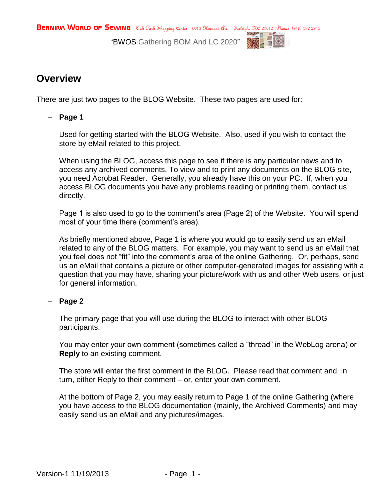**BERNINA WORLD OF SEWING** Oak Park Shopping Center 6013 Slenwood ave. Raleigh, 97C 27612 Phone: (919) 782-2945

"BWOS Gathering BOM And LC 2020"



## **Overview**

There are just two pages to the BLOG Website. These two pages are used for:

## **Page 1**

Used for getting started with the BLOG Website. Also, used if you wish to contact the store by eMail related to this project.

When using the BLOG, access this page to see if there is any particular news and to access any archived comments. To view and to print any documents on the BLOG site, you need Acrobat Reader. Generally, you already have this on your PC. If, when you access BLOG documents you have any problems reading or printing them, contact us directly.

Page 1 is also used to go to the comment's area (Page 2) of the Website. You will spend most of your time there (comment's area).

As briefly mentioned above, Page 1 is where you would go to easily send us an eMail related to any of the BLOG matters. For example, you may want to send us an eMail that you feel does not "fit" into the comment's area of the online Gathering. Or, perhaps, send us an eMail that contains a picture or other computer-generated images for assisting with a question that you may have, sharing your picture/work with us and other Web users, or just for general information.

## $-$  Page 2

The primary page that you will use during the BLOG to interact with other BLOG participants.

You may enter your own comment (sometimes called a "thread" in the WebLog arena) or **Reply** to an existing comment.

The store will enter the first comment in the BLOG. Please read that comment and, in turn, either Reply to their comment – or, enter your own comment.

At the bottom of Page 2, you may easily return to Page 1 of the online Gathering (where you have access to the BLOG documentation (mainly, the Archived Comments) and may easily send us an eMail and any pictures/images.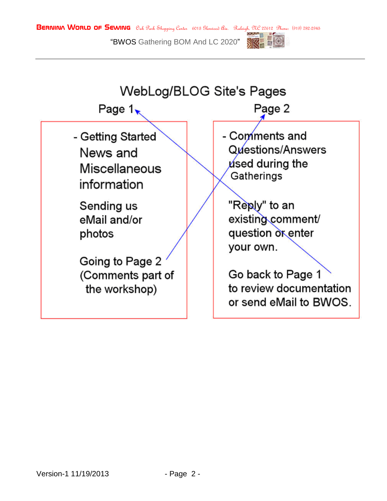**BERNINA WORLD OF SEWING** Oak Park Shopping Center 6013 Slenwood ave. Raleigh, 97C 27612 Phone: (919) 782-2945

"BWOS Gathering BOM And LC 2020"



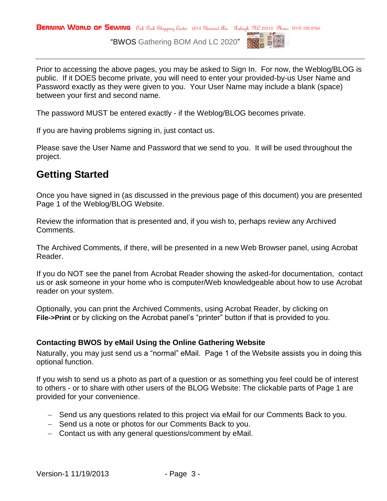

Prior to accessing the above pages, you may be asked to Sign In. For now, the Weblog/BLOG is public. If it DOES become private, you will need to enter your provided-by-us User Name and Password exactly as they were given to you. Your User Name may include a blank (space) between your first and second name.

The password MUST be entered exactly - if the Weblog/BLOG becomes private.

If you are having problems signing in, just contact us.

Please save the User Name and Password that we send to you. It will be used throughout the project.

# **Getting Started**

Once you have signed in (as discussed in the previous page of this document) you are presented Page 1 of the Weblog/BLOG Website.

Review the information that is presented and, if you wish to, perhaps review any Archived Comments.

The Archived Comments, if there, will be presented in a new Web Browser panel, using Acrobat Reader.

If you do NOT see the panel from Acrobat Reader showing the asked-for documentation, contact us or ask someone in your home who is computer/Web knowledgeable about how to use Acrobat reader on your system.

Optionally, you can print the Archived Comments, using Acrobat Reader, by clicking on **File->Print** or by clicking on the Acrobat panel's "printer" button if that is provided to you.

## **Contacting BWOS by eMail Using the Online Gathering Website**

Naturally, you may just send us a "normal" eMail. Page 1 of the Website assists you in doing this optional function.

If you wish to send us a photo as part of a question or as something you feel could be of interest to others - or to share with other users of the BLOG Website: The clickable parts of Page 1 are provided for your convenience.

- Send us any questions related to this project via eMail for our Comments Back to you.
- Send us a note or photos for our Comments Back to you.
- Contact us with any general questions/comment by eMail.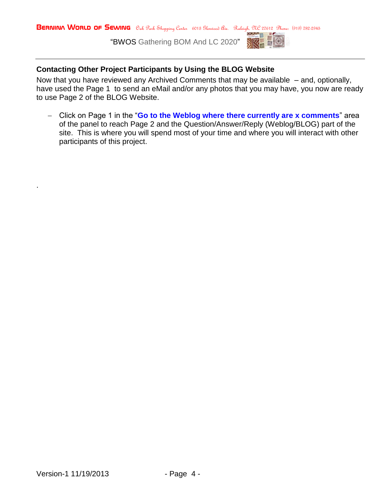

## **Contacting Other Project Participants by Using the BLOG Website**

Now that you have reviewed any Archived Comments that may be available – and, optionally, have used the Page 1 to send an eMail and/or any photos that you may have, you now are ready to use Page 2 of the BLOG Website.

 Click on Page 1 in the "**Go to the Weblog where there currently are x comments**" area of the panel to reach Page 2 and the Question/Answer/Reply (Weblog/BLOG) part of the site. This is where you will spend most of your time and where you will interact with other participants of this project.

.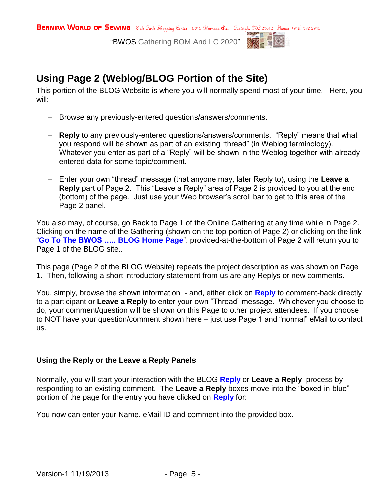

## **Using Page 2 (Weblog/BLOG Portion of the Site)**

This portion of the BLOG Website is where you will normally spend most of your time. Here, you will:

- Browse any previously-entered questions/answers/comments.
- **Reply** to any previously-entered questions/answers/comments. "Reply" means that what you respond will be shown as part of an existing "thread" (in Weblog terminology). Whatever you enter as part of a "Reply" will be shown in the Weblog together with alreadyentered data for some topic/comment.
- Enter your own "thread" message (that anyone may, later Reply to), using the **Leave a Reply** part of Page 2. This "Leave a Reply" area of Page 2 is provided to you at the end (bottom) of the page. Just use your Web browser's scroll bar to get to this area of the Page 2 panel.

You also may, of course, go Back to Page 1 of the Online Gathering at any time while in Page 2. Clicking on the name of the Gathering (shown on the top-portion of Page 2) or clicking on the link "**Go To The BWOS ….. BLOG Home Page**". provided-at-the-bottom of Page 2 will return you to Page 1 of the BLOG site..

This page (Page 2 of the BLOG Website) repeats the project description as was shown on Page 1. Then, following a short introductory statement from us are any Replys or new comments.

You, simply, browse the shown information - and, either click on **Reply** to comment-back directly to a participant or **Leave a Reply** to enter your own "Thread" message. Whichever you choose to do, your comment/question will be shown on this Page to other project attendees. If you choose to NOT have your question/comment shown here – just use Page 1 and "normal" eMail to contact us.

### **Using the Reply or the Leave a Reply Panels**

Normally, you will start your interaction with the BLOG **Reply** or **Leave a Reply** process by responding to an existing comment. The **Leave a Reply** boxes move into the "boxed-in-blue" portion of the page for the entry you have clicked on **Reply** for:

You now can enter your Name, eMail ID and comment into the provided box.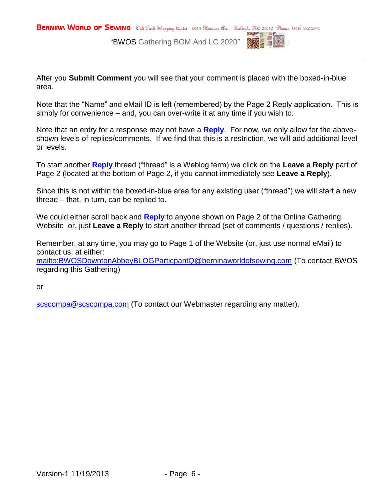

After you **Submit Comment** you will see that your comment is placed with the boxed-in-blue area.

Note that the "Name" and eMail ID is left (remembered) by the Page 2 Reply application. This is simply for convenience – and, you can over-write it at any time if you wish to.

Note that an entry for a response may not have a **Reply**. For now, we only allow for the aboveshown levels of replies/comments. If we find that this is a restriction, we will add additional level or levels.

To start another **Reply** thread ("thread" is a Weblog term) we click on the **Leave a Reply** part of Page 2 (located at the bottom of Page 2, if you cannot immediately see **Leave a Reply**).

Since this is not within the boxed-in-blue area for any existing user ("thread") we will start a new thread – that, in turn, can be replied to.

We could either scroll back and **Reply** to anyone shown on Page 2 of the Online Gathering Website or, just **Leave a Reply** to start another thread (set of comments / questions / replies).

Remember, at any time, you may go to Page 1 of the Website (or, just use normal eMail) to contact us, at either:

<mailto:BWOSDowntonAbbeyBLOGParticpantQ@berninaworldofsewing.com> (To contact BWOS regarding this Gathering)

or

[scscompa@scscompa.com](mailto:scscompa@scscompa.com) (To contact our Webmaster regarding any matter).